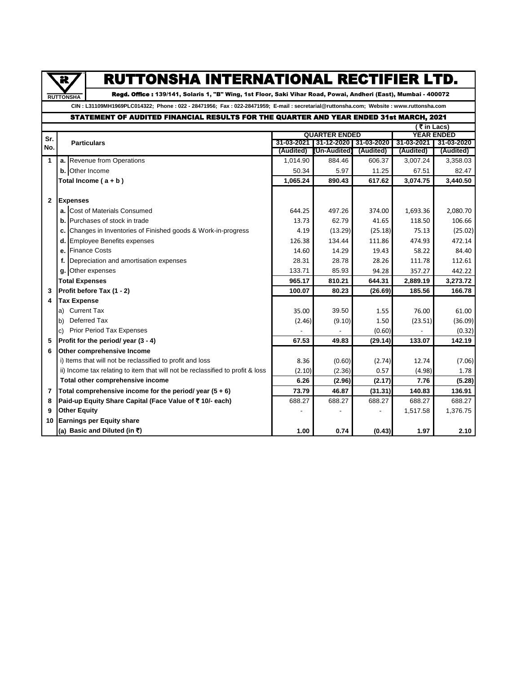## $\overline{\mathbf{R}}$ **RUTTONSHA**

# RUTTONSHA INTERNATIONAL RECTIFIER LTD.

Regd. Office : 139/141, Solaris 1, "B" Wing, 1st Floor, Saki Vihar Road, Powai, Andheri (East), Mumbai - 400072

#### **CIN : L31109MH1969PLC014322; Phone : 022 - 28471956; Fax : 022-28471959; E-mail : secretarial@ruttonsha.com; Website : www.ruttonsha.com**

### STATEMENT OF AUDITED FINANCIAL RESULTS FOR THE QUARTER AND YEAR ENDED 31st MARCH, 2021

|                | (₹in Lacs)                                                                     |            |                            |                   |            |            |
|----------------|--------------------------------------------------------------------------------|------------|----------------------------|-------------------|------------|------------|
| Sr.            |                                                                                |            | <b>QUARTER ENDED</b>       | <b>YEAR ENDED</b> |            |            |
| No.            | <b>Particulars</b>                                                             | 31-03-2021 | 31-12-2020<br>(Un-Audited) | 31-03-2020        | 31-03-2021 | 31-03-2020 |
|                |                                                                                | (Audited)  |                            | (Audited)         | (Audited)  | (Audited)  |
| 1              | a. Revenue from Operations                                                     | 1,014.90   | 884.46                     | 606.37            | 3,007.24   | 3,358.03   |
|                | b. Other Income                                                                | 50.34      | 5.97                       | 11.25             | 67.51      | 82.47      |
|                | Total Income $(a + b)$                                                         | 1,065.24   | 890.43                     | 617.62            | 3,074.75   | 3,440.50   |
|                |                                                                                |            |                            |                   |            |            |
| $\mathbf{2}$   | <b>Expenses</b>                                                                |            |                            |                   |            |            |
|                | a. Cost of Materials Consumed                                                  | 644.25     | 497.26                     | 374.00            | 1,693.36   | 2,080.70   |
|                | <b>b.</b> Purchases of stock in trade                                          | 13.73      | 62.79                      | 41.65             | 118.50     | 106.66     |
|                | Changes in Inventories of Finished goods & Work-in-progress<br>с.              | 4.19       | (13.29)                    | (25.18)           | 75.13      | (25.02)    |
|                | Employee Benefits expenses<br>d.                                               | 126.38     | 134.44                     | 111.86            | 474.93     | 472.14     |
|                | <b>Finance Costs</b><br>е.                                                     | 14.60      | 14.29                      | 19.43             | 58.22      | 84.40      |
|                | Depreciation and amortisation expenses<br>f.                                   | 28.31      | 28.78                      | 28.26             | 111.78     | 112.61     |
|                | g. Other expenses                                                              | 133.71     | 85.93                      | 94.28             | 357.27     | 442.22     |
|                | <b>Total Expenses</b>                                                          | 965.17     | 810.21                     | 644.31            | 2,889.19   | 3,273.72   |
| 3              | Profit before Tax (1 - 2)                                                      | 100.07     | 80.23                      | (26.69)           | 185.56     | 166.78     |
| 4              | <b>Tax Expense</b>                                                             |            |                            |                   |            |            |
|                | <b>Current Tax</b><br>a)                                                       | 35.00      | 39.50                      | 1.55              | 76.00      | 61.00      |
|                | Deferred Tax<br>b)                                                             | (2.46)     | (9.10)                     | 1.50              | (23.51)    | (36.09)    |
|                | Prior Period Tax Expenses<br>C)                                                |            |                            | (0.60)            |            | (0.32)     |
| 5              | Profit for the period/ year (3 - 4)                                            | 67.53      | 49.83                      | (29.14)           | 133.07     | 142.19     |
| 6              | Other comprehensive Income                                                     |            |                            |                   |            |            |
|                | i) Items that will not be reclassified to profit and loss                      | 8.36       | (0.60)                     | (2.74)            | 12.74      | (7.06)     |
|                | ii) Income tax relating to item that will not be reclassified to profit & loss | (2.10)     | (2.36)                     | 0.57              | (4.98)     | 1.78       |
|                | Total other comprehensive income                                               | 6.26       | (2.96)                     | (2.17)            | 7.76       | (5.28)     |
| $\overline{7}$ | Total comprehensive income for the period/ year $(5 + 6)$                      | 73.79      | 46.87                      | (31.31)           | 140.83     | 136.91     |
| 8              | Paid-up Equity Share Capital (Face Value of ₹10/- each)                        | 688.27     | 688.27                     | 688.27            | 688.27     | 688.27     |
| 9              | <b>Other Equity</b>                                                            |            |                            |                   | 1,517.58   | 1,376.75   |
| 10             | <b>Earnings per Equity share</b>                                               |            |                            |                   |            |            |
|                | (a) Basic and Diluted (in ₹)                                                   | 1.00       | 0.74                       | (0.43)            | 1.97       | 2.10       |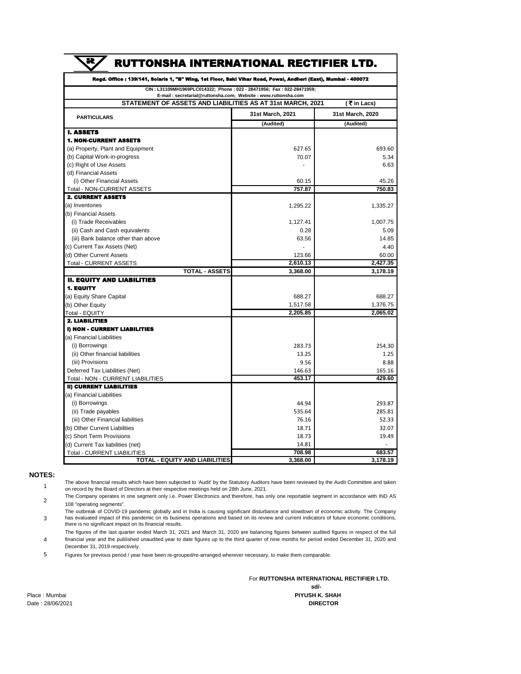|  |  | <b>RUTTONSHA INTERNATIONAL RECTIFIER LTD.</b> |
|--|--|-----------------------------------------------|
|--|--|-----------------------------------------------|

| Regd. Office : 139/141, Solaris 1, "B" Wing, 1st Floor, Saki Vihar Road, Powal, Andheri (East), Mumbal - 400072                        |                  |                  |  |  |  |  |  |  |
|----------------------------------------------------------------------------------------------------------------------------------------|------------------|------------------|--|--|--|--|--|--|
| CIN: L31109MH1969PLC014322; Phone: 022 - 28471956; Fax: 022-28471959;<br>E-mail: secretarial@ruttonsha.com: Website: www.ruttonsha.com |                  |                  |  |  |  |  |  |  |
| STATEMENT OF ASSETS AND LIABILITIES AS AT 31st MARCH, 2021                                                                             |                  | (₹in Lacs)       |  |  |  |  |  |  |
| <b>PARTICULARS</b>                                                                                                                     | 31st March, 2021 | 31st March, 2020 |  |  |  |  |  |  |
|                                                                                                                                        | (Audited)        | (Audited)        |  |  |  |  |  |  |
| <b>I. ASSETS</b>                                                                                                                       |                  |                  |  |  |  |  |  |  |
| <b>1. NON-CURRENT ASSETS</b>                                                                                                           |                  |                  |  |  |  |  |  |  |
| (a) Property, Plant and Equipment                                                                                                      | 627.65           | 693.60           |  |  |  |  |  |  |
| (b) Capital Work-in-progress                                                                                                           | 70.07            | 5.34             |  |  |  |  |  |  |
| (c) Right of Use Assets                                                                                                                |                  | 6.63             |  |  |  |  |  |  |
| (d) Financial Assets                                                                                                                   |                  |                  |  |  |  |  |  |  |
| (i) Other Financial Assets                                                                                                             | 60.15            | 45.26            |  |  |  |  |  |  |
| Total - NON-CURRENT ASSETS                                                                                                             | 757.87           | 750.83           |  |  |  |  |  |  |
| <b>2. CURRENT ASSETS</b>                                                                                                               |                  |                  |  |  |  |  |  |  |
| (a) Inventories                                                                                                                        | 1,295.22         | 1,335.27         |  |  |  |  |  |  |
| (b) Financial Assets                                                                                                                   |                  |                  |  |  |  |  |  |  |
| (i) Trade Receivables                                                                                                                  | 1.127.41         | 1.007.75         |  |  |  |  |  |  |
| (ii) Cash and Cash equivalents                                                                                                         | 0.28             | 5.09             |  |  |  |  |  |  |
| (iii) Bank balance other than above                                                                                                    | 63.56            | 14.85            |  |  |  |  |  |  |
| (c) Current Tax Assets (Net)                                                                                                           |                  | 4.40             |  |  |  |  |  |  |
| (d) Other Current Assets                                                                                                               | 123.66           | 60.00            |  |  |  |  |  |  |
| <b>Total - CURRENT ASSETS</b>                                                                                                          | 2,610.13         | 2,427.35         |  |  |  |  |  |  |
| <b>TOTAL - ASSETS</b>                                                                                                                  | 3,368.00         | 3,178.19         |  |  |  |  |  |  |
| <b>II. EQUITY AND LIABILITIES</b>                                                                                                      |                  |                  |  |  |  |  |  |  |
| 1. EQUITY                                                                                                                              |                  |                  |  |  |  |  |  |  |
| (a) Equity Share Capital                                                                                                               | 688.27           | 688.27           |  |  |  |  |  |  |
| (b) Other Equity                                                                                                                       | 1.517.58         | 1.376.75         |  |  |  |  |  |  |
| Total - EQUITY                                                                                                                         | 2,205.85         | 2,065.02         |  |  |  |  |  |  |
| <b>2. LIABILITIES</b>                                                                                                                  |                  |                  |  |  |  |  |  |  |
| I) NON - CURRENT LIABILITIES                                                                                                           |                  |                  |  |  |  |  |  |  |
| (a) Financial Liabilities                                                                                                              |                  |                  |  |  |  |  |  |  |
| (i) Borrowings                                                                                                                         | 283.73           | 254.30           |  |  |  |  |  |  |
| (ii) Other financial liabilities                                                                                                       | 13.25            | 1.25             |  |  |  |  |  |  |
| (iii) Provisions                                                                                                                       | 9.56             | 8.88             |  |  |  |  |  |  |
| Deferred Tax Liabilities (Net)                                                                                                         | 146.63           | 165.16           |  |  |  |  |  |  |
| Total - NON - CURRENT LIABILITIES                                                                                                      | 453.17           | 429.60           |  |  |  |  |  |  |
| <b>II) CURRENT LIABILITIES</b>                                                                                                         |                  |                  |  |  |  |  |  |  |
| (a) Financial Liabilities                                                                                                              |                  |                  |  |  |  |  |  |  |
| (i) Borrowings                                                                                                                         | 44.94            | 293.87           |  |  |  |  |  |  |
| (ii) Trade payables                                                                                                                    | 535.64           | 285.81           |  |  |  |  |  |  |
| (iii) Other Financial liabilities                                                                                                      | 76.16            | 52.33            |  |  |  |  |  |  |
| (b) Other Current Liabilities                                                                                                          | 18.71            | 32.07            |  |  |  |  |  |  |
| (c) Short Term Provisions                                                                                                              | 18.73            | 19.49            |  |  |  |  |  |  |
| (d) Current Tax liabilities (net)                                                                                                      | 14.81            |                  |  |  |  |  |  |  |
| <b>Total - CURRENT LIABILITIES</b>                                                                                                     | 708.98           | 683.57           |  |  |  |  |  |  |
| TOTAL - EQUITY AND LIABILITIES                                                                                                         | 3,368.00         | 3,178.19         |  |  |  |  |  |  |

#### **NOTES:**

1 The above financial results which have been subjected to 'Audit' by the Statutory Auditors have been reviewed by the Audit Committee and taken on record by the Board of Directors at their respective meetings held on 28th June, 2021.

2 The Company operates in one segment only i.e. Power Electronics and therefore, has only one reportable segment in accordance with IND AS 108 "operating segments".

3 The outbreak of COVID-19 pandemic globally and in India is causing significant disturbance and slowdown of economic activity. The Company has evaluated impact of this pandemic on its business operations and based on its review and current indicators of future economic conditions, there is no significant impact on its financial results.

4 The figures of the last quarter ended March 31, 2021 and March 31, 2020 are balancing figures between audited figures in respect of the full financial year and the published unaudited year to date figures up to the third quarter of nine months for period ended December 31, 2020 and December 31, 2019 respectively.

5 Figures for previous period / year have been re-grouped/re-arranged wherever necessary, to make them comparable.

 For **RUTTONSHA INTERNATIONAL RECTIFIER LTD. sd/- PIYUSH K. SHAH DIRECTOR**

Place : Mumbai Date : 28/06/2021